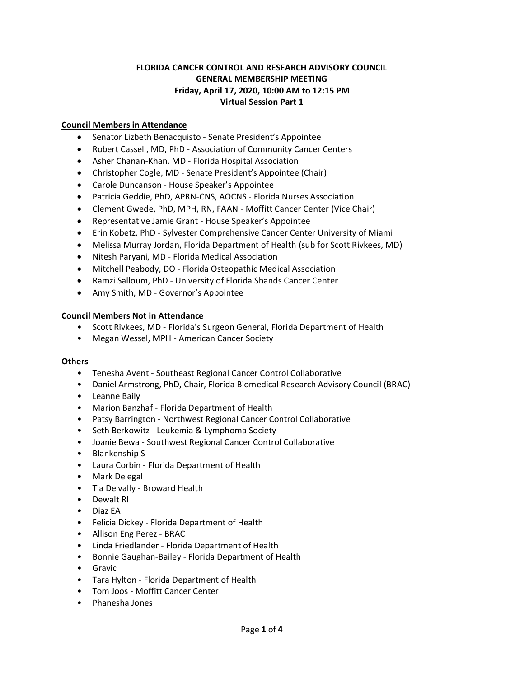# **FLORIDA CANCER CONTROL AND RESEARCH ADVISORY COUNCIL GENERAL MEMBERSHIP MEETING Friday, April 17, 2020, 10:00 AM to 12:15 PM Virtual Session Part 1**

## **Council Members in Attendance**

- Senator Lizbeth Benacquisto Senate President's Appointee
- Robert Cassell, MD, PhD Association of Community Cancer Centers
- Asher Chanan-Khan, MD Florida Hospital Association
- Christopher Cogle, MD Senate President's Appointee (Chair)
- Carole Duncanson House Speaker's Appointee
- Patricia Geddie, PhD, APRN-CNS, AOCNS Florida Nurses Association
- Clement Gwede, PhD, MPH, RN, FAAN Moffitt Cancer Center (Vice Chair)
- Representative Jamie Grant House Speaker's Appointee
- Erin Kobetz, PhD Sylvester Comprehensive Cancer Center University of Miami
- Melissa Murray Jordan, Florida Department of Health (sub for Scott Rivkees, MD)
- Nitesh Paryani, MD Florida Medical Association
- Mitchell Peabody, DO Florida Osteopathic Medical Association
- Ramzi Salloum, PhD University of Florida Shands Cancer Center
- Amy Smith, MD Governor's Appointee

#### **Council Members Not in Attendance**

- Scott Rivkees, MD Florida's Surgeon General, Florida Department of Health
- Megan Wessel, MPH American Cancer Society

#### **Others**

- Tenesha Avent Southeast Regional Cancer Control Collaborative
- Daniel Armstrong, PhD, Chair, Florida Biomedical Research Advisory Council (BRAC)
- Leanne Baily
- Marion Banzhaf Florida Department of Health
- Patsy Barrington Northwest Regional Cancer Control Collaborative
- Seth Berkowitz Leukemia & Lymphoma Society
- Joanie Bewa Southwest Regional Cancer Control Collaborative
- Blankenship S
- Laura Corbin Florida Department of Health
- Mark Delegal
- Tia Delvally Broward Health
- Dewalt RI
- Diaz EA
- Felicia Dickey Florida Department of Health
- Allison Eng Perez BRAC
- Linda Friedlander Florida Department of Health
- Bonnie Gaughan-Bailey Florida Department of Health
- Gravic
- Tara Hylton Florida Department of Health
- Tom Joos Moffitt Cancer Center
- Phanesha Jones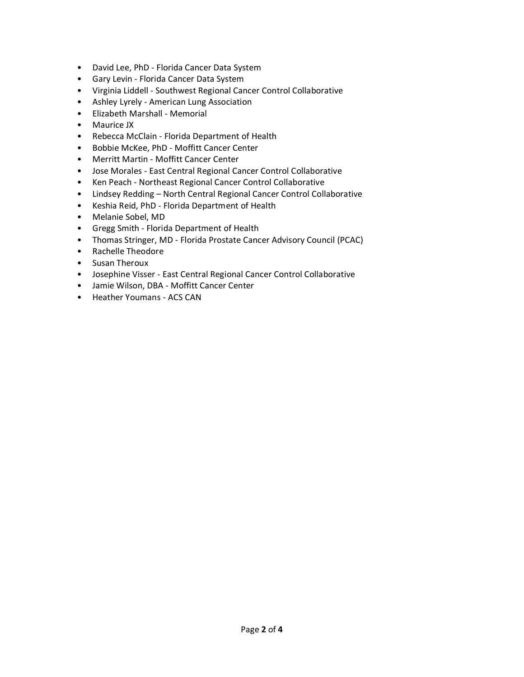- David Lee, PhD Florida Cancer Data System
- Gary Levin Florida Cancer Data System
- Virginia Liddell Southwest Regional Cancer Control Collaborative
- Ashley Lyrely American Lung Association
- Elizabeth Marshall Memorial
- Maurice JX
- Rebecca McClain Florida Department of Health
- Bobbie McKee, PhD Moffitt Cancer Center
- Merritt Martin Moffitt Cancer Center
- Jose Morales East Central Regional Cancer Control Collaborative
- Ken Peach Northeast Regional Cancer Control Collaborative
- Lindsey Redding North Central Regional Cancer Control Collaborative
- Keshia Reid, PhD Florida Department of Health
- Melanie Sobel, MD
- Gregg Smith Florida Department of Health
- Thomas Stringer, MD Florida Prostate Cancer Advisory Council (PCAC)
- Rachelle Theodore
- Susan Theroux
- Josephine Visser East Central Regional Cancer Control Collaborative
- Jamie Wilson, DBA Moffitt Cancer Center
- Heather Youmans ACS CAN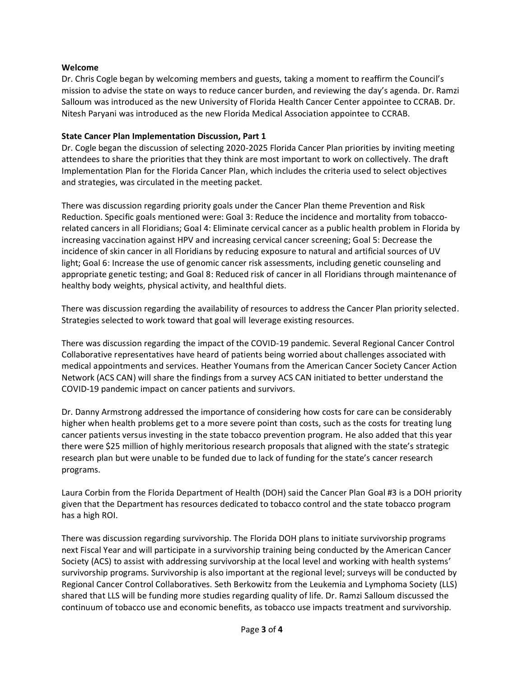## **Welcome**

Dr. Chris Cogle began by welcoming members and guests, taking a moment to reaffirm the Council's mission to advise the state on ways to reduce cancer burden, and reviewing the day's agenda. Dr. Ramzi Salloum was introduced as the new University of Florida Health Cancer Center appointee to CCRAB. Dr. Nitesh Paryani was introduced as the new Florida Medical Association appointee to CCRAB.

## **State Cancer Plan Implementation Discussion, Part 1**

Dr. Cogle began the discussion of selecting 2020-2025 Florida Cancer Plan priorities by inviting meeting attendees to share the priorities that they think are most important to work on collectively. The draft Implementation Plan for the Florida Cancer Plan, which includes the criteria used to select objectives and strategies, was circulated in the meeting packet.

There was discussion regarding priority goals under the Cancer Plan theme Prevention and Risk Reduction. Specific goals mentioned were: Goal 3: Reduce the incidence and mortality from tobaccorelated cancers in all Floridians; Goal 4: Eliminate cervical cancer as a public health problem in Florida by increasing vaccination against HPV and increasing cervical cancer screening; Goal 5: Decrease the incidence of skin cancer in all Floridians by reducing exposure to natural and artificial sources of UV light; Goal 6: Increase the use of genomic cancer risk assessments, including genetic counseling and appropriate genetic testing; and Goal 8: Reduced risk of cancer in all Floridians through maintenance of healthy body weights, physical activity, and healthful diets.

There was discussion regarding the availability of resources to address the Cancer Plan priority selected. Strategies selected to work toward that goal will leverage existing resources.

There was discussion regarding the impact of the COVID-19 pandemic. Several Regional Cancer Control Collaborative representatives have heard of patients being worried about challenges associated with medical appointments and services. Heather Youmans from the American Cancer Society Cancer Action Network (ACS CAN) will share the findings from a survey ACS CAN initiated to better understand the COVID-19 pandemic impact on cancer patients and survivors.

Dr. Danny Armstrong addressed the importance of considering how costs for care can be considerably higher when health problems get to a more severe point than costs, such as the costs for treating lung cancer patients versus investing in the state tobacco prevention program. He also added that this year there were \$25 million of highly meritorious research proposals that aligned with the state's strategic research plan but were unable to be funded due to lack of funding for the state's cancer research programs.

Laura Corbin from the Florida Department of Health (DOH) said the Cancer Plan Goal #3 is a DOH priority given that the Department has resources dedicated to tobacco control and the state tobacco program has a high ROI.

There was discussion regarding survivorship. The Florida DOH plans to initiate survivorship programs next Fiscal Year and will participate in a survivorship training being conducted by the American Cancer Society (ACS) to assist with addressing survivorship at the local level and working with health systems' survivorship programs. Survivorship is also important at the regional level; surveys will be conducted by Regional Cancer Control Collaboratives. Seth Berkowitz from the Leukemia and Lymphoma Society (LLS) shared that LLS will be funding more studies regarding quality of life. Dr. Ramzi Salloum discussed the continuum of tobacco use and economic benefits, as tobacco use impacts treatment and survivorship.